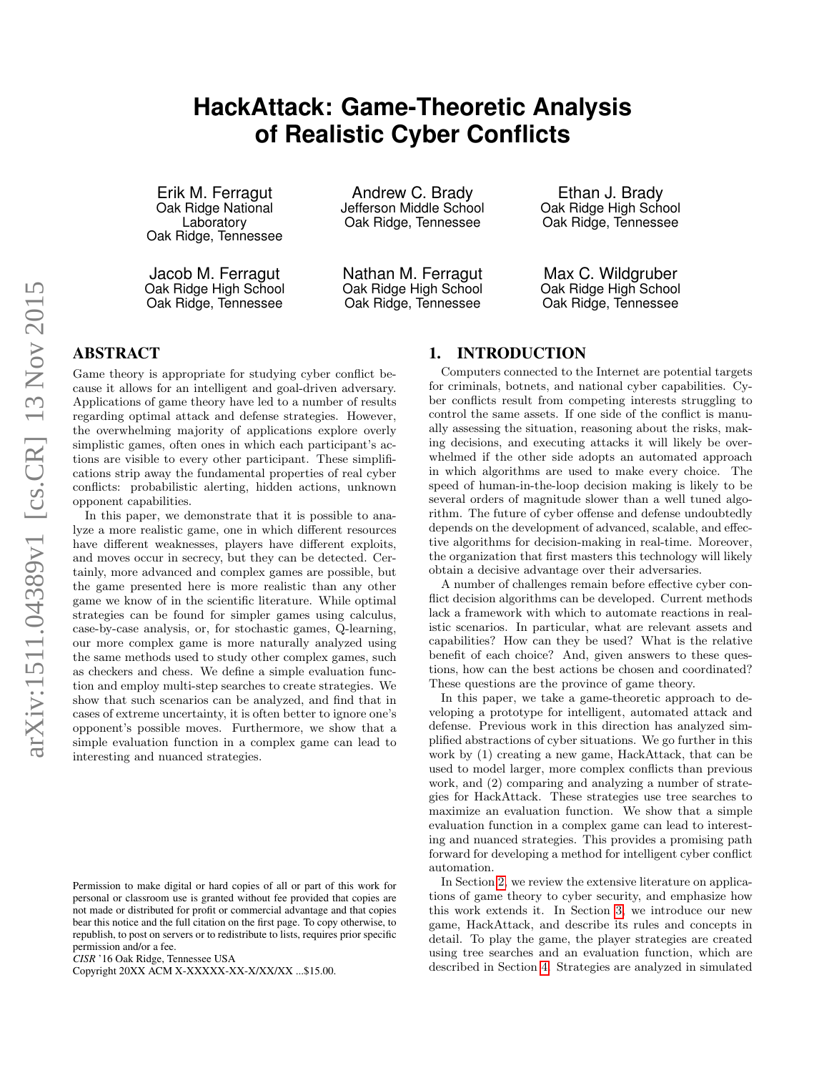# **HackAttack: Game-Theoretic Analysis of Realistic Cyber Conflicts**

Erik M. Ferragut Oak Ridge National Laboratory Oak Ridge, Tennessee

Jacob M. Ferragut Oak Ridge High School Oak Ridge, Tennessee

Andrew C. Brady Jefferson Middle School Oak Ridge, Tennessee

Nathan M. Ferragut Oak Ridge High School Oak Ridge, Tennessee

Ethan J. Brady Oak Ridge High School Oak Ridge, Tennessee

Max C. Wildgruber Oak Ridge High School Oak Ridge, Tennessee

## ABSTRACT

Game theory is appropriate for studying cyber conflict because it allows for an intelligent and goal-driven adversary. Applications of game theory have led to a number of results regarding optimal attack and defense strategies. However, the overwhelming majority of applications explore overly simplistic games, often ones in which each participant's actions are visible to every other participant. These simplifications strip away the fundamental properties of real cyber conflicts: probabilistic alerting, hidden actions, unknown opponent capabilities.

In this paper, we demonstrate that it is possible to analyze a more realistic game, one in which different resources have different weaknesses, players have different exploits, and moves occur in secrecy, but they can be detected. Certainly, more advanced and complex games are possible, but the game presented here is more realistic than any other game we know of in the scientific literature. While optimal strategies can be found for simpler games using calculus, case-by-case analysis, or, for stochastic games, Q-learning, our more complex game is more naturally analyzed using the same methods used to study other complex games, such as checkers and chess. We define a simple evaluation function and employ multi-step searches to create strategies. We show that such scenarios can be analyzed, and find that in cases of extreme uncertainty, it is often better to ignore one's opponent's possible moves. Furthermore, we show that a simple evaluation function in a complex game can lead to interesting and nuanced strategies.

*CISR* '16 Oak Ridge, Tennessee USA

Copyright 20XX ACM X-XXXXX-XX-X/XX/XX ...\$15.00.

## 1. INTRODUCTION

Computers connected to the Internet are potential targets for criminals, botnets, and national cyber capabilities. Cyber conflicts result from competing interests struggling to control the same assets. If one side of the conflict is manually assessing the situation, reasoning about the risks, making decisions, and executing attacks it will likely be overwhelmed if the other side adopts an automated approach in which algorithms are used to make every choice. The speed of human-in-the-loop decision making is likely to be several orders of magnitude slower than a well tuned algorithm. The future of cyber offense and defense undoubtedly depends on the development of advanced, scalable, and effective algorithms for decision-making in real-time. Moreover, the organization that first masters this technology will likely obtain a decisive advantage over their adversaries.

A number of challenges remain before effective cyber conflict decision algorithms can be developed. Current methods lack a framework with which to automate reactions in realistic scenarios. In particular, what are relevant assets and capabilities? How can they be used? What is the relative benefit of each choice? And, given answers to these questions, how can the best actions be chosen and coordinated? These questions are the province of game theory.

In this paper, we take a game-theoretic approach to developing a prototype for intelligent, automated attack and defense. Previous work in this direction has analyzed simplified abstractions of cyber situations. We go further in this work by (1) creating a new game, HackAttack, that can be used to model larger, more complex conflicts than previous work, and (2) comparing and analyzing a number of strategies for HackAttack. These strategies use tree searches to maximize an evaluation function. We show that a simple evaluation function in a complex game can lead to interesting and nuanced strategies. This provides a promising path forward for developing a method for intelligent cyber conflict automation.

In Section [2,](#page-1-0) we review the extensive literature on applications of game theory to cyber security, and emphasize how this work extends it. In Section [3,](#page-1-1) we introduce our new game, HackAttack, and describe its rules and concepts in detail. To play the game, the player strategies are created using tree searches and an evaluation function, which are described in Section [4.](#page-2-0) Strategies are analyzed in simulated

Permission to make digital or hard copies of all or part of this work for personal or classroom use is granted without fee provided that copies are not made or distributed for profit or commercial advantage and that copies bear this notice and the full citation on the first page. To copy otherwise, to republish, to post on servers or to redistribute to lists, requires prior specific permission and/or a fee.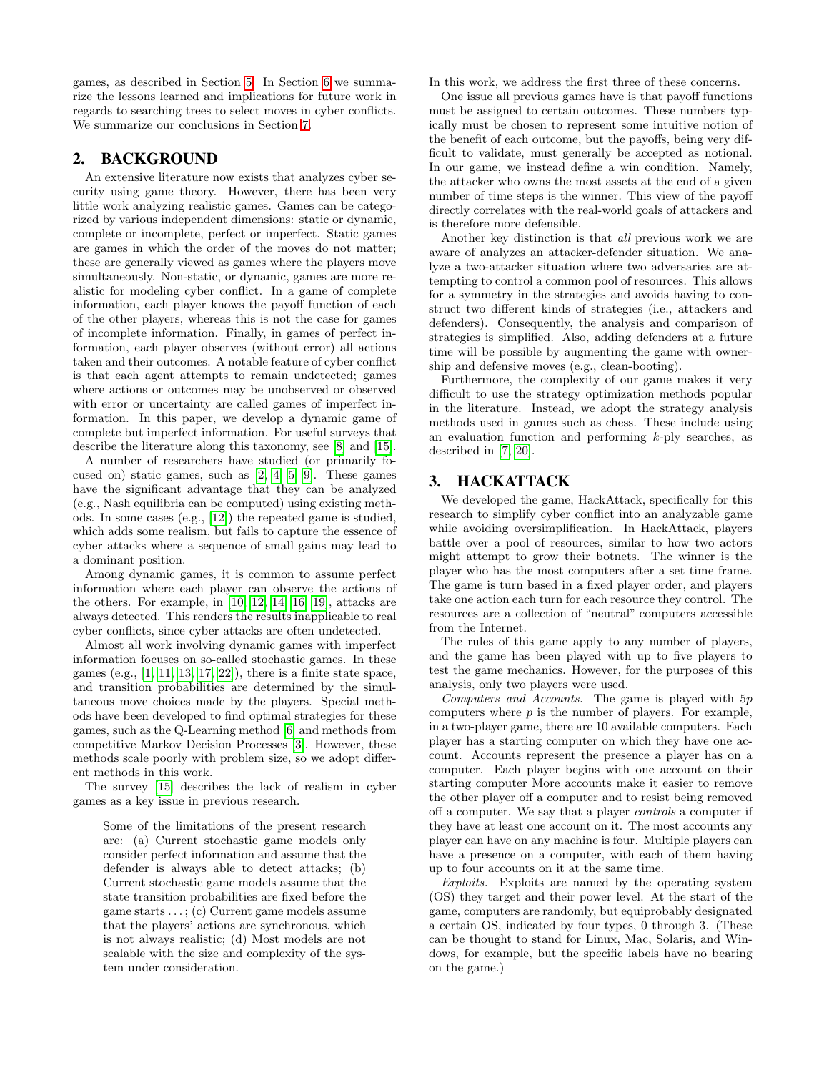games, as described in Section [5.](#page-4-0) In Section [6](#page-5-0) we summarize the lessons learned and implications for future work in regards to searching trees to select moves in cyber conflicts. We summarize our conclusions in Section [7.](#page-6-0)

## <span id="page-1-0"></span>2. BACKGROUND

An extensive literature now exists that analyzes cyber security using game theory. However, there has been very little work analyzing realistic games. Games can be categorized by various independent dimensions: static or dynamic, complete or incomplete, perfect or imperfect. Static games are games in which the order of the moves do not matter; these are generally viewed as games where the players move simultaneously. Non-static, or dynamic, games are more realistic for modeling cyber conflict. In a game of complete information, each player knows the payoff function of each of the other players, whereas this is not the case for games of incomplete information. Finally, in games of perfect information, each player observes (without error) all actions taken and their outcomes. A notable feature of cyber conflict is that each agent attempts to remain undetected; games where actions or outcomes may be unobserved or observed with error or uncertainty are called games of imperfect information. In this paper, we develop a dynamic game of complete but imperfect information. For useful surveys that describe the literature along this taxonomy, see [\[8\]](#page-6-1) and [\[15\]](#page-6-2).

A number of researchers have studied (or primarily focused on) static games, such as [\[2,](#page-6-3) [4,](#page-6-4) [5,](#page-6-5) [9\]](#page-6-6). These games have the significant advantage that they can be analyzed (e.g., Nash equilibria can be computed) using existing methods. In some cases (e.g., [\[12\]](#page-6-7)) the repeated game is studied, which adds some realism, but fails to capture the essence of cyber attacks where a sequence of small gains may lead to a dominant position.

Among dynamic games, it is common to assume perfect information where each player can observe the actions of the others. For example, in [\[10,](#page-6-8) [12,](#page-6-7) [14,](#page-6-9) [16,](#page-6-10) [19\]](#page-6-11), attacks are always detected. This renders the results inapplicable to real cyber conflicts, since cyber attacks are often undetected.

Almost all work involving dynamic games with imperfect information focuses on so-called stochastic games. In these games (e.g.,  $[1, 11, 13, 17, 22]$  $[1, 11, 13, 17, 22]$  $[1, 11, 13, 17, 22]$  $[1, 11, 13, 17, 22]$  $[1, 11, 13, 17, 22]$ ), there is a finite state space, and transition probabilities are determined by the simultaneous move choices made by the players. Special methods have been developed to find optimal strategies for these games, such as the Q-Learning method [\[6\]](#page-6-16) and methods from competitive Markov Decision Processes [\[3\]](#page-6-17). However, these methods scale poorly with problem size, so we adopt different methods in this work.

The survey [\[15\]](#page-6-2) describes the lack of realism in cyber games as a key issue in previous research.

Some of the limitations of the present research are: (a) Current stochastic game models only consider perfect information and assume that the defender is always able to detect attacks; (b) Current stochastic game models assume that the state transition probabilities are fixed before the game starts . . . ; (c) Current game models assume that the players' actions are synchronous, which is not always realistic; (d) Most models are not scalable with the size and complexity of the system under consideration.

In this work, we address the first three of these concerns.

One issue all previous games have is that payoff functions must be assigned to certain outcomes. These numbers typically must be chosen to represent some intuitive notion of the benefit of each outcome, but the payoffs, being very difficult to validate, must generally be accepted as notional. In our game, we instead define a win condition. Namely, the attacker who owns the most assets at the end of a given number of time steps is the winner. This view of the payoff directly correlates with the real-world goals of attackers and is therefore more defensible.

Another key distinction is that all previous work we are aware of analyzes an attacker-defender situation. We analyze a two-attacker situation where two adversaries are attempting to control a common pool of resources. This allows for a symmetry in the strategies and avoids having to construct two different kinds of strategies (i.e., attackers and defenders). Consequently, the analysis and comparison of strategies is simplified. Also, adding defenders at a future time will be possible by augmenting the game with ownership and defensive moves (e.g., clean-booting).

Furthermore, the complexity of our game makes it very difficult to use the strategy optimization methods popular in the literature. Instead, we adopt the strategy analysis methods used in games such as chess. These include using an evaluation function and performing k-ply searches, as described in [\[7,](#page-6-18) [20\]](#page-7-1).

## <span id="page-1-1"></span>3. HACKATTACK

We developed the game, HackAttack, specifically for this research to simplify cyber conflict into an analyzable game while avoiding oversimplification. In HackAttack, players battle over a pool of resources, similar to how two actors might attempt to grow their botnets. The winner is the player who has the most computers after a set time frame. The game is turn based in a fixed player order, and players take one action each turn for each resource they control. The resources are a collection of "neutral" computers accessible from the Internet.

The rules of this game apply to any number of players, and the game has been played with up to five players to test the game mechanics. However, for the purposes of this analysis, only two players were used.

Computers and Accounts. The game is played with 5p computers where  $p$  is the number of players. For example, in a two-player game, there are 10 available computers. Each player has a starting computer on which they have one account. Accounts represent the presence a player has on a computer. Each player begins with one account on their starting computer More accounts make it easier to remove the other player off a computer and to resist being removed off a computer. We say that a player controls a computer if they have at least one account on it. The most accounts any player can have on any machine is four. Multiple players can have a presence on a computer, with each of them having up to four accounts on it at the same time.

Exploits. Exploits are named by the operating system (OS) they target and their power level. At the start of the game, computers are randomly, but equiprobably designated a certain OS, indicated by four types, 0 through 3. (These can be thought to stand for Linux, Mac, Solaris, and Windows, for example, but the specific labels have no bearing on the game.)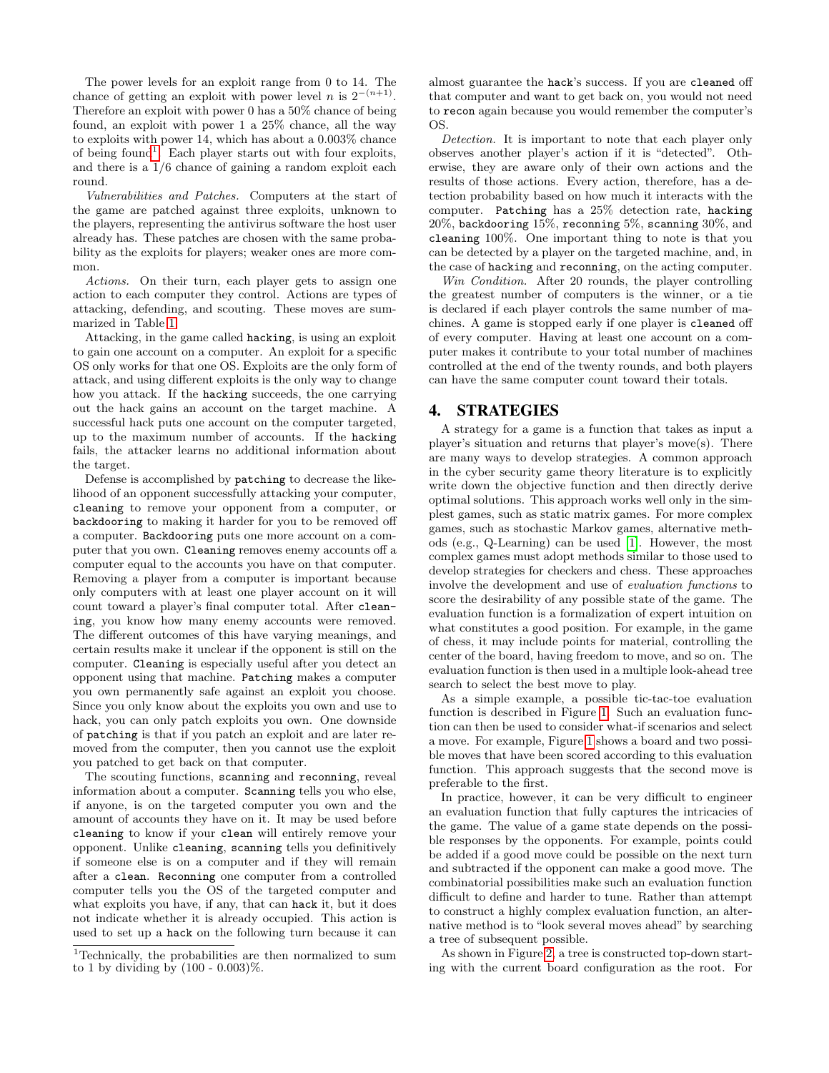The power levels for an exploit range from 0 to 14. The chance of getting an exploit with power level *n* is  $2^{-(n+1)}$ . Therefore an exploit with power 0 has a 50% chance of being found, an exploit with power 1 a 25% chance, all the way to exploits with power 14, which has about a 0.003% chance of being found<sup>[1](#page-2-1)</sup>. Each player starts out with four exploits, and there is a 1/6 chance of gaining a random exploit each round.

Vulnerabilities and Patches. Computers at the start of the game are patched against three exploits, unknown to the players, representing the antivirus software the host user already has. These patches are chosen with the same probability as the exploits for players; weaker ones are more common.

Actions. On their turn, each player gets to assign one action to each computer they control. Actions are types of attacking, defending, and scouting. These moves are summarized in Table [1.](#page-3-0)

Attacking, in the game called hacking, is using an exploit to gain one account on a computer. An exploit for a specific OS only works for that one OS. Exploits are the only form of attack, and using different exploits is the only way to change how you attack. If the hacking succeeds, the one carrying out the hack gains an account on the target machine. A successful hack puts one account on the computer targeted, up to the maximum number of accounts. If the hacking fails, the attacker learns no additional information about the target.

Defense is accomplished by patching to decrease the likelihood of an opponent successfully attacking your computer, cleaning to remove your opponent from a computer, or backdooring to making it harder for you to be removed off a computer. Backdooring puts one more account on a computer that you own. Cleaning removes enemy accounts off a computer equal to the accounts you have on that computer. Removing a player from a computer is important because only computers with at least one player account on it will count toward a player's final computer total. After cleaning, you know how many enemy accounts were removed. The different outcomes of this have varying meanings, and certain results make it unclear if the opponent is still on the computer. Cleaning is especially useful after you detect an opponent using that machine. Patching makes a computer you own permanently safe against an exploit you choose. Since you only know about the exploits you own and use to hack, you can only patch exploits you own. One downside of patching is that if you patch an exploit and are later removed from the computer, then you cannot use the exploit you patched to get back on that computer.

The scouting functions, scanning and reconning, reveal information about a computer. Scanning tells you who else, if anyone, is on the targeted computer you own and the amount of accounts they have on it. It may be used before cleaning to know if your clean will entirely remove your opponent. Unlike cleaning, scanning tells you definitively if someone else is on a computer and if they will remain after a clean. Reconning one computer from a controlled computer tells you the OS of the targeted computer and what exploits you have, if any, that can hack it, but it does not indicate whether it is already occupied. This action is used to set up a hack on the following turn because it can almost guarantee the hack's success. If you are cleaned off that computer and want to get back on, you would not need to recon again because you would remember the computer's OS.

Detection. It is important to note that each player only observes another player's action if it is "detected". Otherwise, they are aware only of their own actions and the results of those actions. Every action, therefore, has a detection probability based on how much it interacts with the computer. Patching has a 25% detection rate, hacking 20%, backdooring 15%, reconning 5%, scanning 30%, and cleaning 100%. One important thing to note is that you can be detected by a player on the targeted machine, and, in the case of hacking and reconning, on the acting computer.

Win Condition. After 20 rounds, the player controlling the greatest number of computers is the winner, or a tie is declared if each player controls the same number of machines. A game is stopped early if one player is cleaned off of every computer. Having at least one account on a computer makes it contribute to your total number of machines controlled at the end of the twenty rounds, and both players can have the same computer count toward their totals.

## <span id="page-2-0"></span>4. STRATEGIES

A strategy for a game is a function that takes as input a player's situation and returns that player's move(s). There are many ways to develop strategies. A common approach in the cyber security game theory literature is to explicitly write down the objective function and then directly derive optimal solutions. This approach works well only in the simplest games, such as static matrix games. For more complex games, such as stochastic Markov games, alternative methods (e.g., Q-Learning) can be used [\[1\]](#page-6-12). However, the most complex games must adopt methods similar to those used to develop strategies for checkers and chess. These approaches involve the development and use of evaluation functions to score the desirability of any possible state of the game. The evaluation function is a formalization of expert intuition on what constitutes a good position. For example, in the game of chess, it may include points for material, controlling the center of the board, having freedom to move, and so on. The evaluation function is then used in a multiple look-ahead tree search to select the best move to play.

As a simple example, a possible tic-tac-toe evaluation function is described in Figure [1.](#page-3-1) Such an evaluation function can then be used to consider what-if scenarios and select a move. For example, Figure [1](#page-3-1) shows a board and two possible moves that have been scored according to this evaluation function. This approach suggests that the second move is preferable to the first.

In practice, however, it can be very difficult to engineer an evaluation function that fully captures the intricacies of the game. The value of a game state depends on the possible responses by the opponents. For example, points could be added if a good move could be possible on the next turn and subtracted if the opponent can make a good move. The combinatorial possibilities make such an evaluation function difficult to define and harder to tune. Rather than attempt to construct a highly complex evaluation function, an alternative method is to "look several moves ahead" by searching a tree of subsequent possible.

As shown in Figure [2,](#page-3-2) a tree is constructed top-down starting with the current board configuration as the root. For

<span id="page-2-1"></span><sup>1</sup>Technically, the probabilities are then normalized to sum to 1 by dividing by  $(100 - 0.003)\%$ .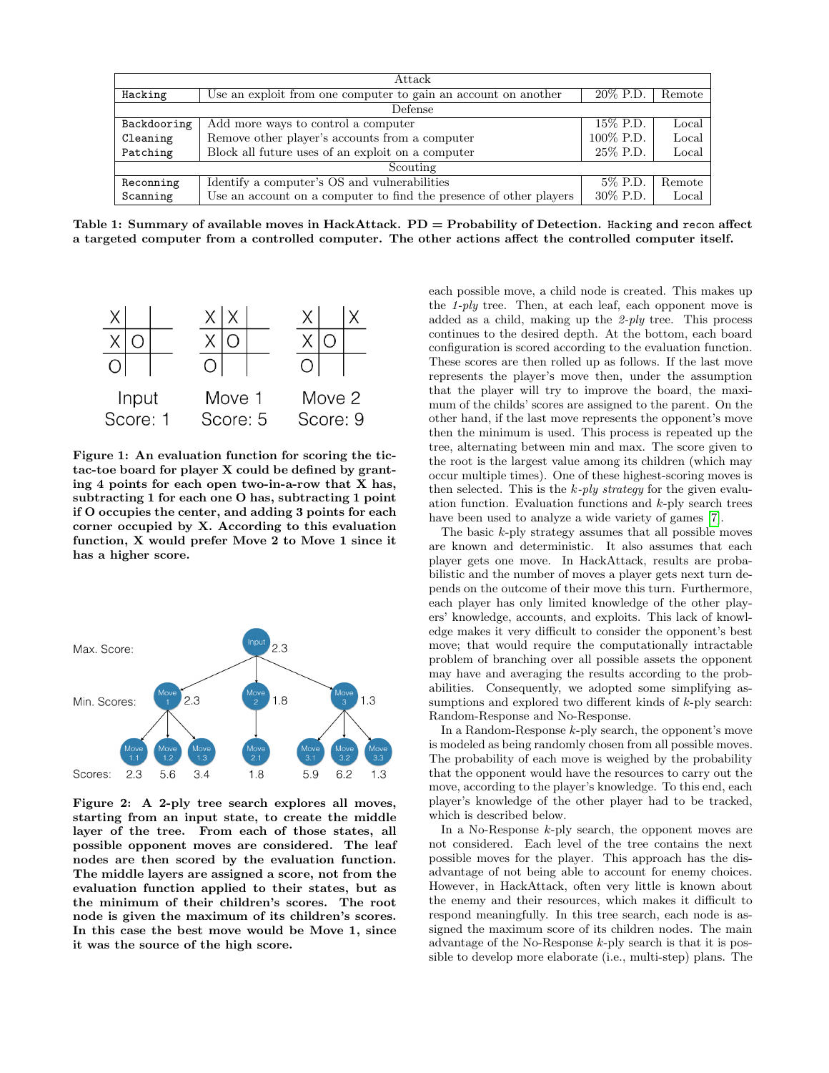| Attack      |                                                                    |           |        |  |  |  |
|-------------|--------------------------------------------------------------------|-----------|--------|--|--|--|
| Hacking     | Use an exploit from one computer to gain an account on another     |           | Remote |  |  |  |
| Defense     |                                                                    |           |        |  |  |  |
| Backdooring | Add more ways to control a computer                                | 15% P.D.  | Local  |  |  |  |
| Cleaning    | Remove other player's accounts from a computer                     | 100% P.D. | Local  |  |  |  |
| Patching    | Block all future uses of an exploit on a computer                  | 25% P.D.  | Local  |  |  |  |
| Scouting    |                                                                    |           |        |  |  |  |
| Reconning   | Identify a computer's OS and vulnerabilities                       | 5\% P.D.  | Remote |  |  |  |
| Scanning    | Use an account on a computer to find the presence of other players | 30% P.D.  | Local  |  |  |  |

<span id="page-3-0"></span>Table 1: Summary of available moves in HackAttack. PD = Probability of Detection. Hacking and recon affect a targeted computer from a controlled computer. The other actions affect the controlled computer itself.



<span id="page-3-1"></span>Figure 1: An evaluation function for scoring the tictac-toe board for player X could be defined by granting 4 points for each open two-in-a-row that  $\bar{X}$  has, subtracting 1 for each one O has, subtracting 1 point if O occupies the center, and adding 3 points for each corner occupied by X. According to this evaluation function, X would prefer Move 2 to Move 1 since it has a higher score.



<span id="page-3-2"></span>Figure 2: A 2-ply tree search explores all moves, starting from an input state, to create the middle layer of the tree. From each of those states, all possible opponent moves are considered. The leaf nodes are then scored by the evaluation function. The middle layers are assigned a score, not from the evaluation function applied to their states, but as the minimum of their children's scores. The root node is given the maximum of its children's scores. In this case the best move would be Move 1, since it was the source of the high score.

each possible move, a child node is created. This makes up the 1-ply tree. Then, at each leaf, each opponent move is added as a child, making up the 2-ply tree. This process continues to the desired depth. At the bottom, each board configuration is scored according to the evaluation function. These scores are then rolled up as follows. If the last move represents the player's move then, under the assumption that the player will try to improve the board, the maximum of the childs' scores are assigned to the parent. On the other hand, if the last move represents the opponent's move then the minimum is used. This process is repeated up the tree, alternating between min and max. The score given to the root is the largest value among its children (which may occur multiple times). One of these highest-scoring moves is then selected. This is the  $k$ -ply strategy for the given evaluation function. Evaluation functions and  $k$ -ply search trees have been used to analyze a wide variety of games [\[7\]](#page-6-18).

The basic k-ply strategy assumes that all possible moves are known and deterministic. It also assumes that each player gets one move. In HackAttack, results are probabilistic and the number of moves a player gets next turn depends on the outcome of their move this turn. Furthermore, each player has only limited knowledge of the other players' knowledge, accounts, and exploits. This lack of knowledge makes it very difficult to consider the opponent's best move; that would require the computationally intractable problem of branching over all possible assets the opponent may have and averaging the results according to the probabilities. Consequently, we adopted some simplifying assumptions and explored two different kinds of k-ply search: Random-Response and No-Response.

In a Random-Response  $k$ -ply search, the opponent's move is modeled as being randomly chosen from all possible moves. The probability of each move is weighed by the probability that the opponent would have the resources to carry out the move, according to the player's knowledge. To this end, each player's knowledge of the other player had to be tracked, which is described below.

In a No-Response  $k$ -ply search, the opponent moves are not considered. Each level of the tree contains the next possible moves for the player. This approach has the disadvantage of not being able to account for enemy choices. However, in HackAttack, often very little is known about the enemy and their resources, which makes it difficult to respond meaningfully. In this tree search, each node is assigned the maximum score of its children nodes. The main advantage of the No-Response k-ply search is that it is possible to develop more elaborate (i.e., multi-step) plans. The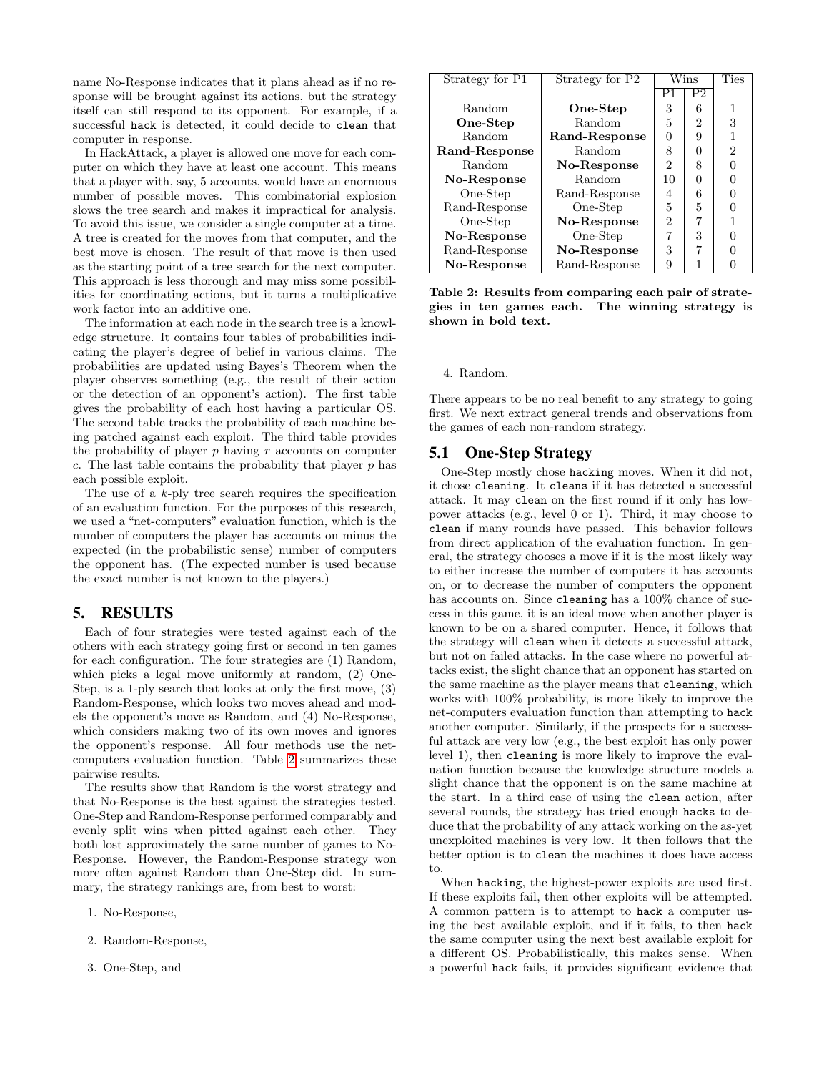name No-Response indicates that it plans ahead as if no response will be brought against its actions, but the strategy itself can still respond to its opponent. For example, if a successful hack is detected, it could decide to clean that computer in response.

In HackAttack, a player is allowed one move for each computer on which they have at least one account. This means that a player with, say, 5 accounts, would have an enormous number of possible moves. This combinatorial explosion slows the tree search and makes it impractical for analysis. To avoid this issue, we consider a single computer at a time. A tree is created for the moves from that computer, and the best move is chosen. The result of that move is then used as the starting point of a tree search for the next computer. This approach is less thorough and may miss some possibilities for coordinating actions, but it turns a multiplicative work factor into an additive one.

The information at each node in the search tree is a knowledge structure. It contains four tables of probabilities indicating the player's degree of belief in various claims. The probabilities are updated using Bayes's Theorem when the player observes something (e.g., the result of their action or the detection of an opponent's action). The first table gives the probability of each host having a particular OS. The second table tracks the probability of each machine being patched against each exploit. The third table provides the probability of player  $p$  having  $r$  accounts on computer c. The last table contains the probability that player  $p$  has each possible exploit.

The use of a  $k$ -ply tree search requires the specification of an evaluation function. For the purposes of this research, we used a "net-computers" evaluation function, which is the number of computers the player has accounts on minus the expected (in the probabilistic sense) number of computers the opponent has. (The expected number is used because the exact number is not known to the players.)

## <span id="page-4-0"></span>5. RESULTS

Each of four strategies were tested against each of the others with each strategy going first or second in ten games for each configuration. The four strategies are (1) Random, which picks a legal move uniformly at random, (2) One-Step, is a 1-ply search that looks at only the first move, (3) Random-Response, which looks two moves ahead and models the opponent's move as Random, and (4) No-Response, which considers making two of its own moves and ignores the opponent's response. All four methods use the netcomputers evaluation function. Table [2](#page-4-1) summarizes these pairwise results.

The results show that Random is the worst strategy and that No-Response is the best against the strategies tested. One-Step and Random-Response performed comparably and evenly split wins when pitted against each other. They both lost approximately the same number of games to No-Response. However, the Random-Response strategy won more often against Random than One-Step did. In summary, the strategy rankings are, from best to worst:

- 1. No-Response,
- 2. Random-Response,
- 3. One-Step, and

| Strategy for P1 | Strategy for P2 | Wins           |                | Ties |
|-----------------|-----------------|----------------|----------------|------|
|                 |                 |                | Р2             |      |
| Random          | One-Step        | 3              | 6              | 1    |
| One-Step        | Random          | 5              | $\overline{2}$ | 3    |
| Random          | Rand-Response   | ∩              | 9              |      |
| Rand-Response   | Random          | 8              | $\Omega$       | 2    |
| Random          | No-Response     | $\mathfrak{D}$ | 8              |      |
| No-Response     | <b>Random</b>   | 10             | $\Omega$       |      |
| One-Step        | Rand-Response   | 4              | 6              |      |
| Rand-Response   | One-Step        | 5              | 5              |      |
| One-Step        | No-Response     | $\overline{2}$ |                |      |
| No-Response     | One-Step        | 7              | 3              |      |
| Rand-Response   | No-Response     | 3              |                |      |
| No-Response     | Rand-Response   | 9              |                |      |

<span id="page-4-1"></span>Table 2: Results from comparing each pair of strategies in ten games each. The winning strategy is shown in bold text.

#### 4. Random.

There appears to be no real benefit to any strategy to going first. We next extract general trends and observations from the games of each non-random strategy.

#### 5.1 One-Step Strategy

One-Step mostly chose hacking moves. When it did not, it chose cleaning. It cleans if it has detected a successful attack. It may clean on the first round if it only has lowpower attacks (e.g., level 0 or 1). Third, it may choose to clean if many rounds have passed. This behavior follows from direct application of the evaluation function. In general, the strategy chooses a move if it is the most likely way to either increase the number of computers it has accounts on, or to decrease the number of computers the opponent has accounts on. Since cleaning has a  $100\%$  chance of success in this game, it is an ideal move when another player is known to be on a shared computer. Hence, it follows that the strategy will clean when it detects a successful attack, but not on failed attacks. In the case where no powerful attacks exist, the slight chance that an opponent has started on the same machine as the player means that cleaning, which works with 100% probability, is more likely to improve the net-computers evaluation function than attempting to hack another computer. Similarly, if the prospects for a successful attack are very low (e.g., the best exploit has only power level 1), then cleaning is more likely to improve the evaluation function because the knowledge structure models a slight chance that the opponent is on the same machine at the start. In a third case of using the clean action, after several rounds, the strategy has tried enough hacks to deduce that the probability of any attack working on the as-yet unexploited machines is very low. It then follows that the better option is to clean the machines it does have access to.

When hacking, the highest-power exploits are used first. If these exploits fail, then other exploits will be attempted. A common pattern is to attempt to hack a computer using the best available exploit, and if it fails, to then hack the same computer using the next best available exploit for a different OS. Probabilistically, this makes sense. When a powerful hack fails, it provides significant evidence that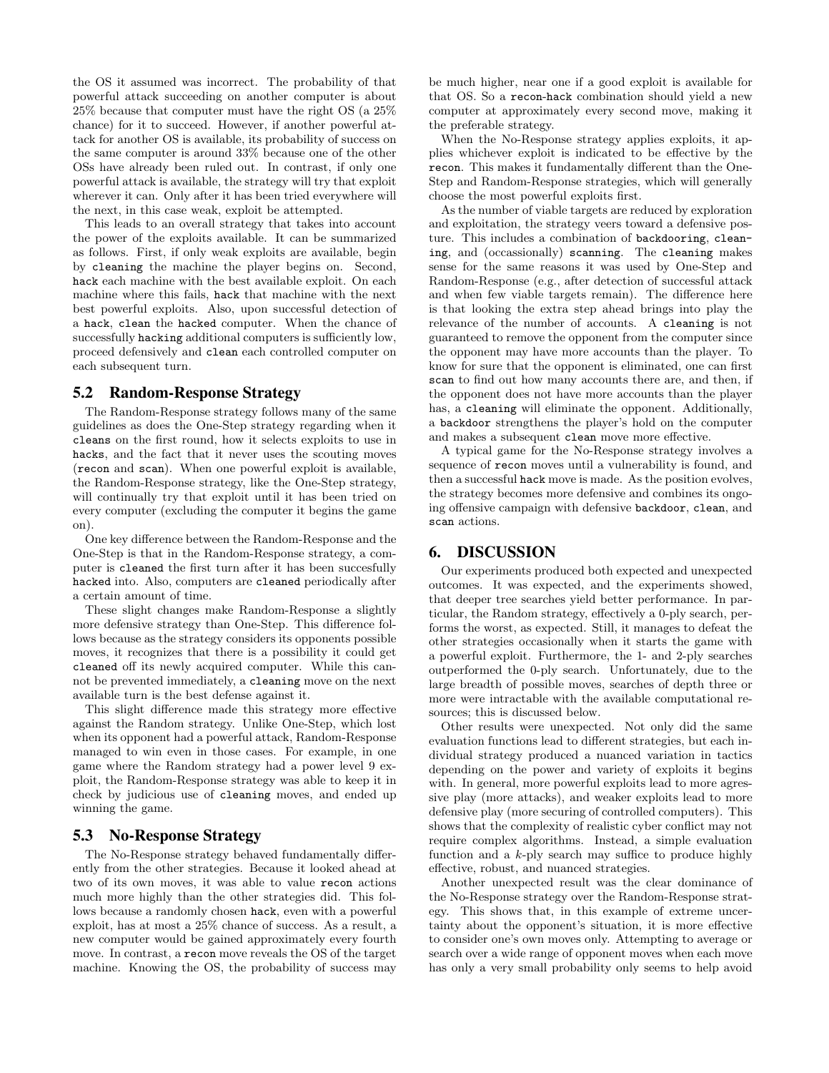the OS it assumed was incorrect. The probability of that powerful attack succeeding on another computer is about 25% because that computer must have the right OS (a 25% chance) for it to succeed. However, if another powerful attack for another OS is available, its probability of success on the same computer is around 33% because one of the other OSs have already been ruled out. In contrast, if only one powerful attack is available, the strategy will try that exploit wherever it can. Only after it has been tried everywhere will the next, in this case weak, exploit be attempted.

This leads to an overall strategy that takes into account the power of the exploits available. It can be summarized as follows. First, if only weak exploits are available, begin by cleaning the machine the player begins on. Second, hack each machine with the best available exploit. On each machine where this fails, hack that machine with the next best powerful exploits. Also, upon successful detection of a hack, clean the hacked computer. When the chance of successfully hacking additional computers is sufficiently low, proceed defensively and clean each controlled computer on each subsequent turn.

#### 5.2 Random-Response Strategy

The Random-Response strategy follows many of the same guidelines as does the One-Step strategy regarding when it cleans on the first round, how it selects exploits to use in hacks, and the fact that it never uses the scouting moves (recon and scan). When one powerful exploit is available, the Random-Response strategy, like the One-Step strategy, will continually try that exploit until it has been tried on every computer (excluding the computer it begins the game on).

One key difference between the Random-Response and the One-Step is that in the Random-Response strategy, a computer is cleaned the first turn after it has been succesfully hacked into. Also, computers are cleaned periodically after a certain amount of time.

These slight changes make Random-Response a slightly more defensive strategy than One-Step. This difference follows because as the strategy considers its opponents possible moves, it recognizes that there is a possibility it could get cleaned off its newly acquired computer. While this cannot be prevented immediately, a cleaning move on the next available turn is the best defense against it.

This slight difference made this strategy more effective against the Random strategy. Unlike One-Step, which lost when its opponent had a powerful attack, Random-Response managed to win even in those cases. For example, in one game where the Random strategy had a power level 9 exploit, the Random-Response strategy was able to keep it in check by judicious use of cleaning moves, and ended up winning the game.

## 5.3 No-Response Strategy

The No-Response strategy behaved fundamentally differently from the other strategies. Because it looked ahead at two of its own moves, it was able to value recon actions much more highly than the other strategies did. This follows because a randomly chosen hack, even with a powerful exploit, has at most a 25% chance of success. As a result, a new computer would be gained approximately every fourth move. In contrast, a recon move reveals the OS of the target machine. Knowing the OS, the probability of success may be much higher, near one if a good exploit is available for that OS. So a recon-hack combination should yield a new computer at approximately every second move, making it the preferable strategy.

When the No-Response strategy applies exploits, it applies whichever exploit is indicated to be effective by the recon. This makes it fundamentally different than the One-Step and Random-Response strategies, which will generally choose the most powerful exploits first.

As the number of viable targets are reduced by exploration and exploitation, the strategy veers toward a defensive posture. This includes a combination of backdooring, cleaning, and (occassionally) scanning. The cleaning makes sense for the same reasons it was used by One-Step and Random-Response (e.g., after detection of successful attack and when few viable targets remain). The difference here is that looking the extra step ahead brings into play the relevance of the number of accounts. A cleaning is not guaranteed to remove the opponent from the computer since the opponent may have more accounts than the player. To know for sure that the opponent is eliminated, one can first scan to find out how many accounts there are, and then, if the opponent does not have more accounts than the player has, a cleaning will eliminate the opponent. Additionally, a backdoor strengthens the player's hold on the computer and makes a subsequent clean move more effective.

A typical game for the No-Response strategy involves a sequence of recon moves until a vulnerability is found, and then a successful hack move is made. As the position evolves, the strategy becomes more defensive and combines its ongoing offensive campaign with defensive backdoor, clean, and scan actions.

#### <span id="page-5-0"></span>6. DISCUSSION

Our experiments produced both expected and unexpected outcomes. It was expected, and the experiments showed, that deeper tree searches yield better performance. In particular, the Random strategy, effectively a 0-ply search, performs the worst, as expected. Still, it manages to defeat the other strategies occasionally when it starts the game with a powerful exploit. Furthermore, the 1- and 2-ply searches outperformed the 0-ply search. Unfortunately, due to the large breadth of possible moves, searches of depth three or more were intractable with the available computational resources; this is discussed below.

Other results were unexpected. Not only did the same evaluation functions lead to different strategies, but each individual strategy produced a nuanced variation in tactics depending on the power and variety of exploits it begins with. In general, more powerful exploits lead to more agressive play (more attacks), and weaker exploits lead to more defensive play (more securing of controlled computers). This shows that the complexity of realistic cyber conflict may not require complex algorithms. Instead, a simple evaluation function and a k-ply search may suffice to produce highly effective, robust, and nuanced strategies.

Another unexpected result was the clear dominance of the No-Response strategy over the Random-Response strategy. This shows that, in this example of extreme uncertainty about the opponent's situation, it is more effective to consider one's own moves only. Attempting to average or search over a wide range of opponent moves when each move has only a very small probability only seems to help avoid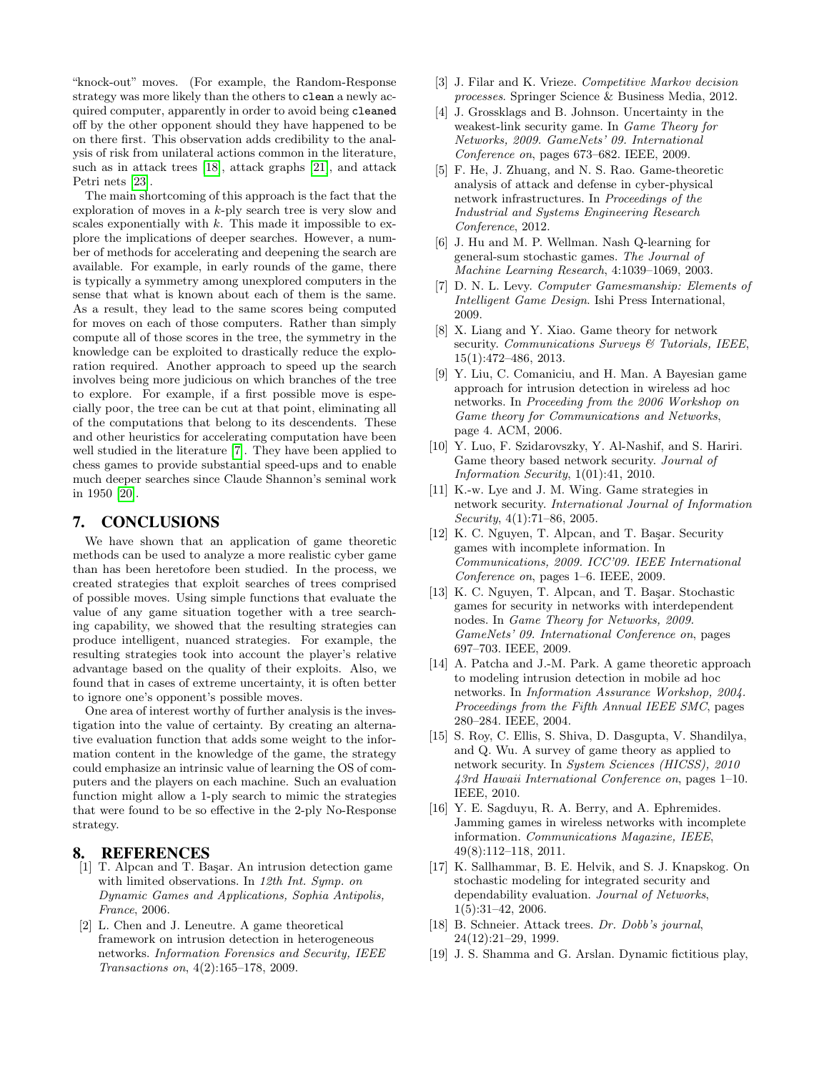"knock-out" moves. (For example, the Random-Response strategy was more likely than the others to clean a newly acquired computer, apparently in order to avoid being cleaned off by the other opponent should they have happened to be on there first. This observation adds credibility to the analysis of risk from unilateral actions common in the literature, such as in attack trees [\[18\]](#page-6-19), attack graphs [\[21\]](#page-7-2), and attack Petri nets [\[23\]](#page-7-3).

The main shortcoming of this approach is the fact that the exploration of moves in a k-ply search tree is very slow and scales exponentially with  $k$ . This made it impossible to explore the implications of deeper searches. However, a number of methods for accelerating and deepening the search are available. For example, in early rounds of the game, there is typically a symmetry among unexplored computers in the sense that what is known about each of them is the same. As a result, they lead to the same scores being computed for moves on each of those computers. Rather than simply compute all of those scores in the tree, the symmetry in the knowledge can be exploited to drastically reduce the exploration required. Another approach to speed up the search involves being more judicious on which branches of the tree to explore. For example, if a first possible move is especially poor, the tree can be cut at that point, eliminating all of the computations that belong to its descendents. These and other heuristics for accelerating computation have been well studied in the literature [\[7\]](#page-6-18). They have been applied to chess games to provide substantial speed-ups and to enable much deeper searches since Claude Shannon's seminal work in 1950 [\[20\]](#page-7-1).

## <span id="page-6-0"></span>7. CONCLUSIONS

We have shown that an application of game theoretic methods can be used to analyze a more realistic cyber game than has been heretofore been studied. In the process, we created strategies that exploit searches of trees comprised of possible moves. Using simple functions that evaluate the value of any game situation together with a tree searching capability, we showed that the resulting strategies can produce intelligent, nuanced strategies. For example, the resulting strategies took into account the player's relative advantage based on the quality of their exploits. Also, we found that in cases of extreme uncertainty, it is often better to ignore one's opponent's possible moves.

One area of interest worthy of further analysis is the investigation into the value of certainty. By creating an alternative evaluation function that adds some weight to the information content in the knowledge of the game, the strategy could emphasize an intrinsic value of learning the OS of computers and the players on each machine. Such an evaluation function might allow a 1-ply search to mimic the strategies that were found to be so effective in the 2-ply No-Response strategy.

#### 8. REFERENCES

- <span id="page-6-12"></span>[1] T. Alpcan and T. Basar. An intrusion detection game with limited observations. In 12th Int. Symp. on Dynamic Games and Applications, Sophia Antipolis, France, 2006.
- <span id="page-6-3"></span>[2] L. Chen and J. Leneutre. A game theoretical framework on intrusion detection in heterogeneous networks. Information Forensics and Security, IEEE Transactions on, 4(2):165–178, 2009.
- <span id="page-6-17"></span>[3] J. Filar and K. Vrieze. Competitive Markov decision processes. Springer Science & Business Media, 2012.
- <span id="page-6-4"></span>[4] J. Grossklags and B. Johnson. Uncertainty in the weakest-link security game. In Game Theory for Networks, 2009. GameNets' 09. International Conference on, pages 673–682. IEEE, 2009.
- <span id="page-6-5"></span>[5] F. He, J. Zhuang, and N. S. Rao. Game-theoretic analysis of attack and defense in cyber-physical network infrastructures. In Proceedings of the Industrial and Systems Engineering Research Conference, 2012.
- <span id="page-6-16"></span>[6] J. Hu and M. P. Wellman. Nash Q-learning for general-sum stochastic games. The Journal of Machine Learning Research, 4:1039–1069, 2003.
- <span id="page-6-18"></span>[7] D. N. L. Levy. Computer Gamesmanship: Elements of Intelligent Game Design. Ishi Press International, 2009.
- <span id="page-6-1"></span>[8] X. Liang and Y. Xiao. Game theory for network security. Communications Surveys  $\mathcal C$  Tutorials, IEEE, 15(1):472–486, 2013.
- <span id="page-6-6"></span>[9] Y. Liu, C. Comaniciu, and H. Man. A Bayesian game approach for intrusion detection in wireless ad hoc networks. In Proceeding from the 2006 Workshop on Game theory for Communications and Networks, page 4. ACM, 2006.
- <span id="page-6-8"></span>[10] Y. Luo, F. Szidarovszky, Y. Al-Nashif, and S. Hariri. Game theory based network security. Journal of Information Security, 1(01):41, 2010.
- <span id="page-6-13"></span>[11] K.-w. Lye and J. M. Wing. Game strategies in network security. International Journal of Information Security, 4(1):71–86, 2005.
- <span id="page-6-7"></span>[12] K. C. Nguyen, T. Alpcan, and T. Basar. Security games with incomplete information. In Communications, 2009. ICC'09. IEEE International Conference on, pages 1–6. IEEE, 2009.
- <span id="page-6-14"></span>[13] K. C. Nguyen, T. Alpcan, and T. Basar. Stochastic games for security in networks with interdependent nodes. In Game Theory for Networks, 2009. GameNets' 09. International Conference on, pages 697–703. IEEE, 2009.
- <span id="page-6-9"></span>[14] A. Patcha and J.-M. Park. A game theoretic approach to modeling intrusion detection in mobile ad hoc networks. In Information Assurance Workshop, 2004. Proceedings from the Fifth Annual IEEE SMC, pages 280–284. IEEE, 2004.
- <span id="page-6-2"></span>[15] S. Roy, C. Ellis, S. Shiva, D. Dasgupta, V. Shandilya, and Q. Wu. A survey of game theory as applied to network security. In System Sciences (HICSS), 2010 43rd Hawaii International Conference on, pages 1–10. IEEE, 2010.
- <span id="page-6-10"></span>[16] Y. E. Sagduyu, R. A. Berry, and A. Ephremides. Jamming games in wireless networks with incomplete information. Communications Magazine, IEEE, 49(8):112–118, 2011.
- <span id="page-6-15"></span>[17] K. Sallhammar, B. E. Helvik, and S. J. Knapskog. On stochastic modeling for integrated security and dependability evaluation. Journal of Networks, 1(5):31–42, 2006.
- <span id="page-6-19"></span>[18] B. Schneier. Attack trees. Dr. Dobb's journal, 24(12):21–29, 1999.
- <span id="page-6-11"></span>[19] J. S. Shamma and G. Arslan. Dynamic fictitious play,